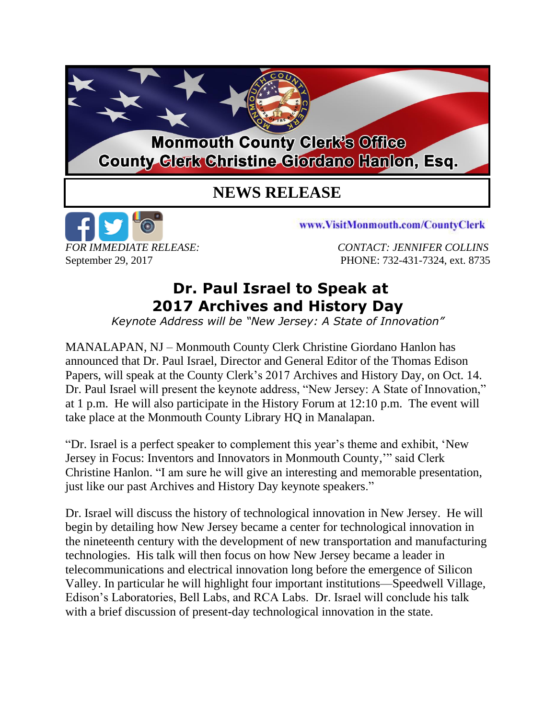## **Monmouth County Clerk's Office County Clerk Christine Giordano Hanlon, Esq.**

## **NEWS RELEASE**



www.VisitMonmouth.com/CountyClerk

*FOR IMMEDIATE RELEASE: CONTACT: JENNIFER COLLINS* September 29, 2017 PHONE: 732-431-7324, ext. 8735

## **Dr. Paul Israel to Speak at 2017 Archives and History Day**

*Keynote Address will be "New Jersey: A State of Innovation"*

MANALAPAN, NJ – Monmouth County Clerk Christine Giordano Hanlon has announced that Dr. Paul Israel, Director and General Editor of the Thomas Edison Papers, will speak at the County Clerk's 2017 Archives and History Day, on Oct. 14. Dr. Paul Israel will present the keynote address, "New Jersey: A State of Innovation," at 1 p.m. He will also participate in the History Forum at 12:10 p.m. The event will take place at the Monmouth County Library HQ in Manalapan.

"Dr. Israel is a perfect speaker to complement this year's theme and exhibit, 'New Jersey in Focus: Inventors and Innovators in Monmouth County,'" said Clerk Christine Hanlon. "I am sure he will give an interesting and memorable presentation, just like our past Archives and History Day keynote speakers."

Dr. Israel will discuss the history of technological innovation in New Jersey. He will begin by detailing how New Jersey became a center for technological innovation in the nineteenth century with the development of new transportation and manufacturing technologies. His talk will then focus on how New Jersey became a leader in telecommunications and electrical innovation long before the emergence of Silicon Valley. In particular he will highlight four important institutions—Speedwell Village, Edison's Laboratories, Bell Labs, and RCA Labs. Dr. Israel will conclude his talk with a brief discussion of present-day technological innovation in the state.